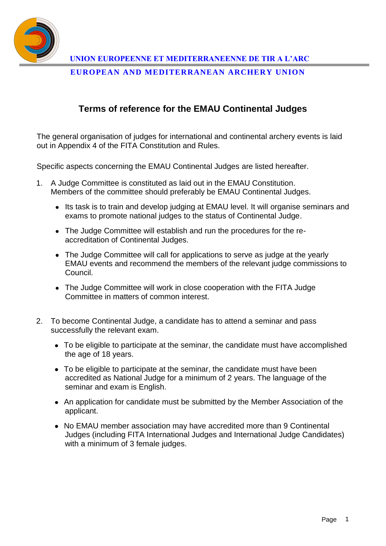

**UNION EUROPEENNE ET MEDITERRANEENNE DE TIR A L'ARC**

**EUROPEAN AND MEDITERRANEAN ARCHERY UNION**

## **Terms of reference for the EMAU Continental Judges**

The general organisation of judges for international and continental archery events is laid out in Appendix 4 of the FITA Constitution and Rules.

Specific aspects concerning the EMAU Continental Judges are listed hereafter.

- 1. A Judge Committee is constituted as laid out in the EMAU Constitution. Members of the committee should preferably be EMAU Continental Judges.
	- Its task is to train and develop judging at EMAU level. It will organise seminars and exams to promote national judges to the status of Continental Judge.
	- The Judge Committee will establish and run the procedures for the reaccreditation of Continental Judges.
	- The Judge Committee will call for applications to serve as judge at the yearly EMAU events and recommend the members of the relevant judge commissions to Council.
	- The Judge Committee will work in close cooperation with the FITA Judge Committee in matters of common interest.
- 2. To become Continental Judge, a candidate has to attend a seminar and pass successfully the relevant exam.
	- To be eligible to participate at the seminar, the candidate must have accomplished the age of 18 years.
	- To be eligible to participate at the seminar, the candidate must have been accredited as National Judge for a minimum of 2 years. The language of the seminar and exam is English.
	- An application for candidate must be submitted by the Member Association of the applicant.
	- No EMAU member association may have accredited more than 9 Continental Judges (including FITA International Judges and International Judge Candidates) with a minimum of 3 female judges.